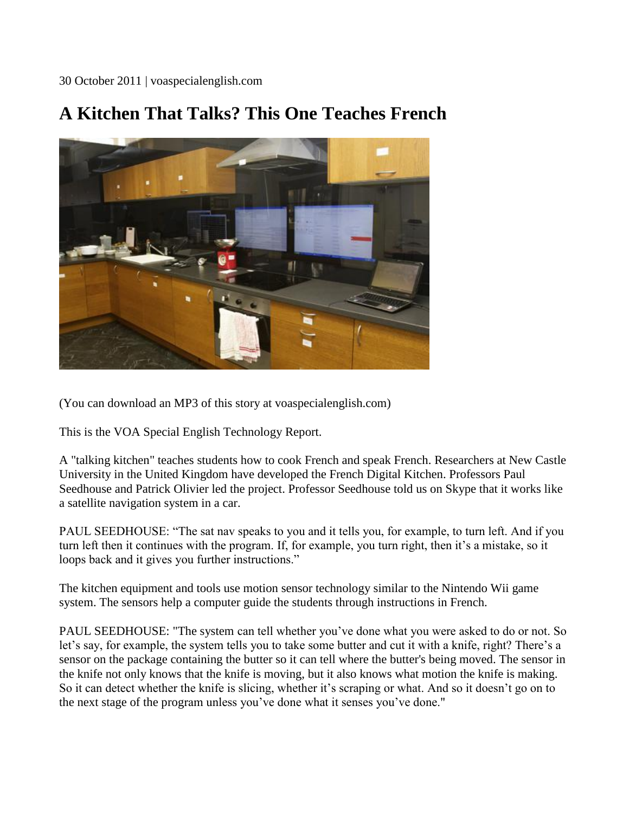30 October 2011 | voaspecialenglish.com

## **A Kitchen That Talks? This One Teaches French**



(You can download an MP3 of this story at voaspecialenglish.com)

This is the VOA Special English Technology Report.

A "talking kitchen" teaches students how to cook French and speak French. Researchers at New Castle University in the United Kingdom have developed the French Digital Kitchen. Professors Paul Seedhouse and Patrick Olivier led the project. Professor Seedhouse told us on Skype that it works like a satellite navigation system in a car.

PAUL SEEDHOUSE: "The sat nav speaks to you and it tells you, for example, to turn left. And if you turn left then it continues with the program. If, for example, you turn right, then it's a mistake, so it loops back and it gives you further instructions."

The kitchen equipment and tools use motion sensor technology similar to the Nintendo Wii game system. The sensors help a computer guide the students through instructions in French.

PAUL SEEDHOUSE: "The system can tell whether you've done what you were asked to do or not. So let's say, for example, the system tells you to take some butter and cut it with a knife, right? There's a sensor on the package containing the butter so it can tell where the butter's being moved. The sensor in the knife not only knows that the knife is moving, but it also knows what motion the knife is making. So it can detect whether the knife is slicing, whether it's scraping or what. And so it doesn't go on to the next stage of the program unless you've done what it senses you've done."